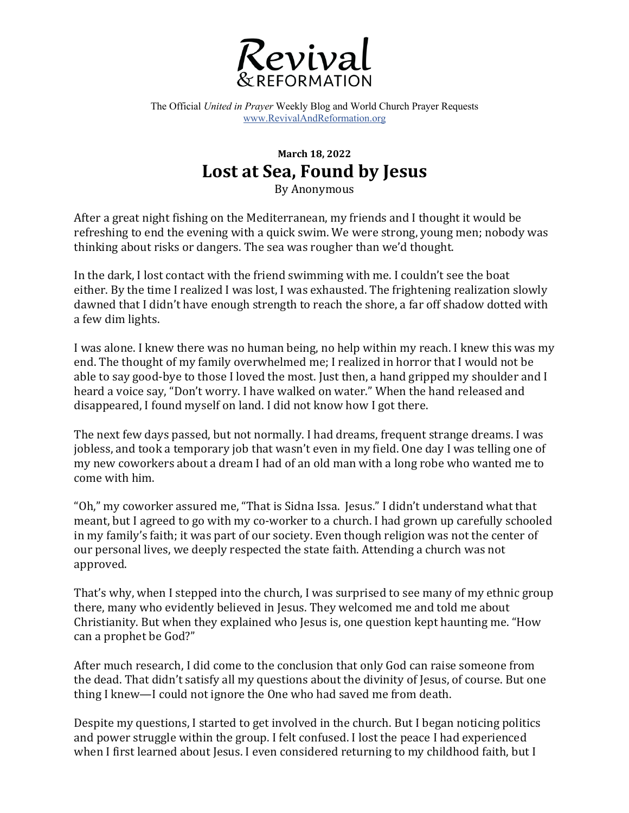

The Official *United in Prayer* Weekly Blog and World Church Prayer Requests www.RevivalAndReformation.org

## **March 18, 2022** Lost at Sea, Found by Jesus

By Anonymous

After a great night fishing on the Mediterranean, my friends and I thought it would be refreshing to end the evening with a quick swim. We were strong, young men; nobody was thinking about risks or dangers. The sea was rougher than we'd thought.

In the dark, I lost contact with the friend swimming with me. I couldn't see the boat either. By the time I realized I was lost, I was exhausted. The frightening realization slowly dawned that I didn't have enough strength to reach the shore, a far off shadow dotted with a few dim lights.

I was alone. I knew there was no human being, no help within my reach. I knew this was my end. The thought of my family overwhelmed me: I realized in horror that I would not be able to say good-bye to those I loved the most. Just then, a hand gripped my shoulder and I heard a voice say, "Don't worry. I have walked on water." When the hand released and disappeared, I found myself on land. I did not know how I got there.

The next few days passed, but not normally. I had dreams, frequent strange dreams. I was jobless, and took a temporary job that wasn't even in my field. One day I was telling one of my new coworkers about a dream I had of an old man with a long robe who wanted me to come with him. 

"Oh," my coworker assured me, "That is Sidna Issa. Jesus." I didn't understand what that meant, but I agreed to go with my co-worker to a church. I had grown up carefully schooled in my family's faith; it was part of our society. Even though religion was not the center of our personal lives, we deeply respected the state faith. Attending a church was not approved.

That's why, when I stepped into the church, I was surprised to see many of my ethnic group there, many who evidently believed in Jesus. They welcomed me and told me about Christianity. But when they explained who Jesus is, one question kept haunting me. "How can a prophet be God?"

After much research, I did come to the conclusion that only God can raise someone from the dead. That didn't satisfy all my questions about the divinity of Jesus, of course. But one thing I knew—I could not ignore the One who had saved me from death.

Despite my questions, I started to get involved in the church. But I began noticing politics and power struggle within the group. I felt confused. I lost the peace I had experienced when I first learned about Jesus. I even considered returning to my childhood faith, but I